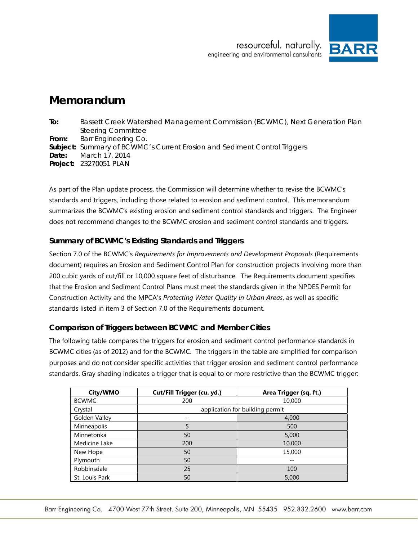

## **Memorandum**

| To:   | Bassett Creek Watershed Management Commission (BCWMC), Next Generation Plan      |  |  |
|-------|----------------------------------------------------------------------------------|--|--|
|       | <b>Steering Committee</b>                                                        |  |  |
| From: | <b>Barr Engineering Co.</b>                                                      |  |  |
|       | <b>Subject:</b> Summary of BCWMC's Current Erosion and Sediment Control Triggers |  |  |
|       | <b>Date:</b> March 17, 2014                                                      |  |  |
|       | <b>Project: 23270051 PLAN</b>                                                    |  |  |
|       |                                                                                  |  |  |

As part of the Plan update process, the Commission will determine whether to revise the BCWMC's standards and triggers, including those related to erosion and sediment control. This memorandum summarizes the BCWMC's existing erosion and sediment control standards and triggers. The Engineer does not recommend changes to the BCWMC erosion and sediment control standards and triggers.

## **Summary of BCWMC's Existing Standards and Triggers**

Section 7.0 of the BCWMC's *Requirements for Improvements and Development Proposals* (Requirements document) requires an Erosion and Sediment Control Plan for construction projects involving more than 200 cubic yards of cut/fill or 10,000 square feet of disturbance. The Requirements document specifies that the Erosion and Sediment Control Plans must meet the standards given in the NPDES Permit for Construction Activity and the MPCA's *Protecting Water Quality in Urban Areas*, as well as specific standards listed in item 3 of Section 7.0 of the Requirements document.

## **Comparison of Triggers between BCWMC and Member Cities**

The following table compares the triggers for erosion and sediment control performance standards in BCWMC cities (as of 2012) and for the BCWMC. The triggers in the table are simplified for comparison purposes and do not consider specific activities that trigger erosion and sediment control performance standards. Gray shading indicates a trigger that is equal to or more restrictive than the BCWMC trigger:

| City/WMO       | Cut/Fill Trigger (cu. yd.)      | Area Trigger (sq. ft.) |  |
|----------------|---------------------------------|------------------------|--|
| <b>BCWMC</b>   | 200                             | 10,000                 |  |
| Crystal        | application for building permit |                        |  |
| Golden Valley  | --                              | 4,000                  |  |
| Minneapolis    | 5                               | 500                    |  |
| Minnetonka     | 50                              | 5,000                  |  |
| Medicine Lake  | 200                             | 10,000                 |  |
| New Hope       | 50                              | 15,000                 |  |
| Plymouth       | 50                              |                        |  |
| Robbinsdale    | 25                              | 100                    |  |
| St. Louis Park | 50                              | 5,000                  |  |